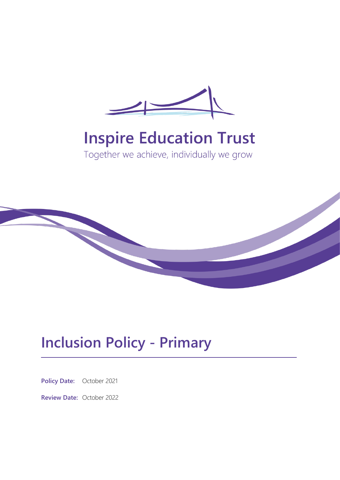

# **Inspire Education Trust**

Together we achieve, individually we grow



## **Inclusion Policy - Primary**

**Policy Date:** October 2021

**Review Date:** October 2022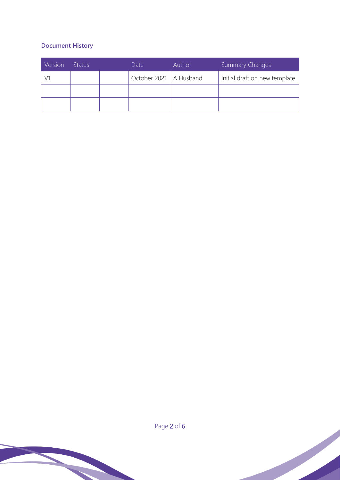### **Document History**

| Version | 'Status' | Date                     | Author | <b>Summary Changes</b>        |
|---------|----------|--------------------------|--------|-------------------------------|
|         |          | October 2021   A Husband |        | Initial draft on new template |
|         |          |                          |        |                               |
|         |          |                          |        |                               |



Page 2 of 6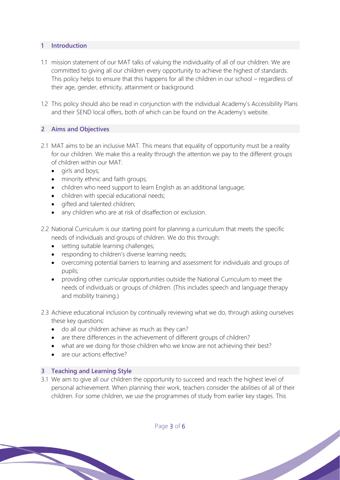#### **1 Introduction**

- 1.1 mission statement of our MAT talks of valuing the individuality of all of our children. We are committed to giving all our children every opportunity to achieve the highest of standards. This policy helps to ensure that this happens for all the children in our school – regardless of their age, gender, ethnicity, attainment or background.
- 1.2 This policy should also be read in conjunction with the individual Academy's Accessibility Plans and their SEND local offers, both of which can be found on the Academy's website.

#### **2 Aims and Objectives**

- 2.1 MAT aims to be an inclusive MAT. This means that equality of opportunity must be a reality for our children. We make this a reality through the attention we pay to the different groups of children within our MAT:
	- girls and boys;
	- minority ethnic and faith groups;
	- children who need support to learn English as an additional language;
	- children with special educational needs;
	- gifted and talented children;
	- any children who are at risk of disaffection or exclusion.
- 2.2 National Curriculum is our starting point for planning a curriculum that meets the specific needs of individuals and groups of children. We do this through:
	- setting suitable learning challenges;
	- responding to children's diverse learning needs;
	- overcoming potential barriers to learning and assessment for individuals and groups of pupils;
	- providing other curricular opportunities outside the National Curriculum to meet the needs of individuals or groups of children. (This includes speech and language therapy and mobility training.)
- 2.3 Achieve educational inclusion by continually reviewing what we do, through asking ourselves these key questions:
	- do all our children achieve as much as they can?
	- are there differences in the achievement of different groups of children?
	- what are we doing for those children who we know are not achieving their best?
	- are our actions effective?

#### **3 Teaching and Learning Style**

3.1 We aim to give all our children the opportunity to succeed and reach the highest level of personal achievement. When planning their work, teachers consider the abilities of all of their children. For some children, we use the programmes of study from earlier key stages. This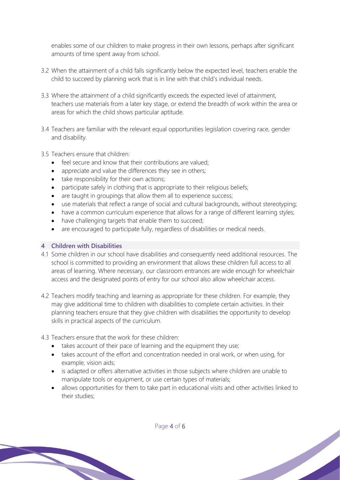enables some of our children to make progress in their own lessons, perhaps after significant amounts of time spent away from school.

- 3.2 When the attainment of a child falls significantly below the expected level, teachers enable the child to succeed by planning work that is in line with that child's individual needs.
- 3.3 Where the attainment of a child significantly exceeds the expected level of attainment, teachers use materials from a later key stage, or extend the breadth of work within the area or areas for which the child shows particular aptitude.
- 3.4 Teachers are familiar with the relevant equal opportunities legislation covering race, gender and disability.
- 3.5 Teachers ensure that children:
	- feel secure and know that their contributions are valued;
	- appreciate and value the differences they see in others;
	- take responsibility for their own actions;
	- participate safely in clothing that is appropriate to their religious beliefs;
	- are taught in groupings that allow them all to experience success;
	- use materials that reflect a range of social and cultural backgrounds, without stereotyping;
	- have a common curriculum experience that allows for a range of different learning styles;
	- have challenging targets that enable them to succeed;
	- are encouraged to participate fully, regardless of disabilities or medical needs.

#### **4 Children with Disabilities**

- 4.1 Some children in our school have disabilities and consequently need additional resources. The school is committed to providing an environment that allows these children full access to all areas of learning. Where necessary, our classroom entrances are wide enough for wheelchair access and the designated points of entry for our school also allow wheelchair access.
- 4.2 Teachers modify teaching and learning as appropriate for these children. For example, they may give additional time to children with disabilities to complete certain activities. In their planning teachers ensure that they give children with disabilities the opportunity to develop skills in practical aspects of the curriculum.
- 4.3 Teachers ensure that the work for these children:
	- takes account of their pace of learning and the equipment they use;
	- takes account of the effort and concentration needed in oral work, or when using, for example, vision aids;
	- is adapted or offers alternative activities in those subjects where children are unable to manipulate tools or equipment, or use certain types of materials;
	- allows opportunities for them to take part in educational visits and other activities linked to their studies;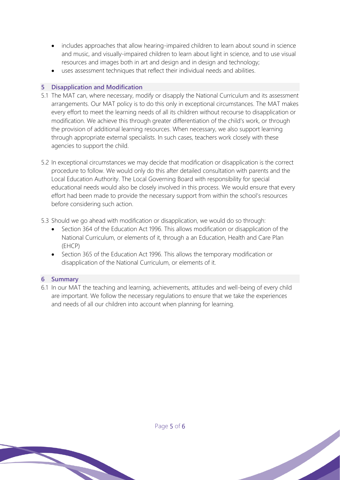- includes approaches that allow hearing-impaired children to learn about sound in science and music, and visually-impaired children to learn about light in science, and to use visual resources and images both in art and design and in design and technology;
- uses assessment techniques that reflect their individual needs and abilities.

#### **5 Disapplication and Modification**

- 5.1 The MAT can, where necessary, modify or disapply the National Curriculum and its assessment arrangements. Our MAT policy is to do this only in exceptional circumstances. The MAT makes every effort to meet the learning needs of all its children without recourse to disapplication or modification. We achieve this through greater differentiation of the child's work, or through the provision of additional learning resources. When necessary, we also support learning through appropriate external specialists. In such cases, teachers work closely with these agencies to support the child.
- 5.2 In exceptional circumstances we may decide that modification or disapplication is the correct procedure to follow. We would only do this after detailed consultation with parents and the Local Education Authority. The Local Governing Board with responsibility for special educational needs would also be closely involved in this process. We would ensure that every effort had been made to provide the necessary support from within the school's resources before considering such action.
- 5.3 Should we go ahead with modification or disapplication, we would do so through:
	- Section 364 of the Education Act 1996. This allows modification or disapplication of the National Curriculum, or elements of it, through a an Education, Health and Care Plan (EHCP)
	- Section 365 of the Education Act 1996. This allows the temporary modification or disapplication of the National Curriculum, or elements of it.

#### **6 Summary**

6.1 In our MAT the teaching and learning, achievements, attitudes and well-being of every child are important. We follow the necessary regulations to ensure that we take the experiences and needs of all our children into account when planning for learning.